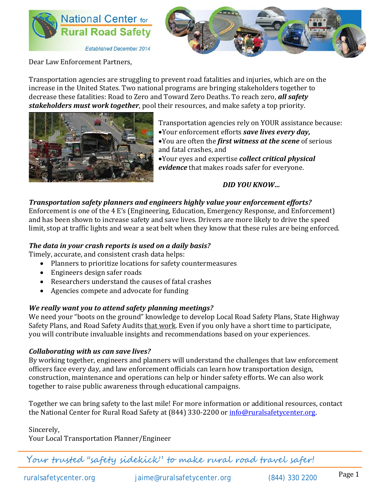



Dear Law Enforcement Partners,

Transportation agencies are struggling to prevent road fatalities and injuries, which are on the increase in the United States. Two national programs are bringing stakeholders together to decrease these fatalities: Road to Zero and Toward Zero Deaths. To reach zero, *all safety stakeholders must work together*, pool their resources, and make safety a top priority.



Transportation agencies rely on YOUR assistance because:

•Your enforcement efforts *save lives every day,*

•You are often the *first witness at the scene* of serious and fatal crashes, and

•Your eyes and expertise *collect critical physical evidence* that makes roads safer for everyone.

*DID YOU KNOW…*

## *Transportation safety planners and engineers highly value your enforcement efforts?*

Enforcement is one of the 4 E's (Engineering, Education, Emergency Response, and Enforcement) and has been shown to increase safety and save lives. Drivers are more likely to drive the speed limit, stop at traffic lights and wear a seat belt when they know that these rules are being enforced.

## *The data in your crash reports is used on a daily basis?*

Timely, accurate, and consistent crash data helps:

- Planners to prioritize locations for safety countermeasures
- Engineers design safer roads
- Researchers understand the causes of fatal crashes
- Agencies compete and advocate for funding

## *We really want you to attend safety planning meetings?*

We need your "boots on the ground" knowledge to develop Local Road Safety Plans, State Highway Safety Plans, and Road Safety Audits that work. Even if you only have a short time to participate, you will contribute invaluable insights and recommendations based on your experiences.

## *Collaborating with us can save lives?*

By working together, engineers and planners will understand the challenges that law enforcement officers face every day, and law enforcement officials can learn how transportation design, construction, maintenance and operations can help or hinder safety efforts. We can also work together to raise public awareness through educational campaigns.

Together we can bring safety to the last mile! For more information or additional resources, contact the National Center for Rural Road Safety at (844) 330-2200 or [info@ruralsafetycenter.org.](mailto:info@ruralsafetycenter.org)

Sincerely,

Your Local Transportation Planner/Engineer

Your trusted "safety sidekick" to make rural road travel safer!

ruralsafetycenter.org [jaime@ruralsafetycenter.org](mailto:jaime@ruralsafetycenter.org) (844) 330 2200